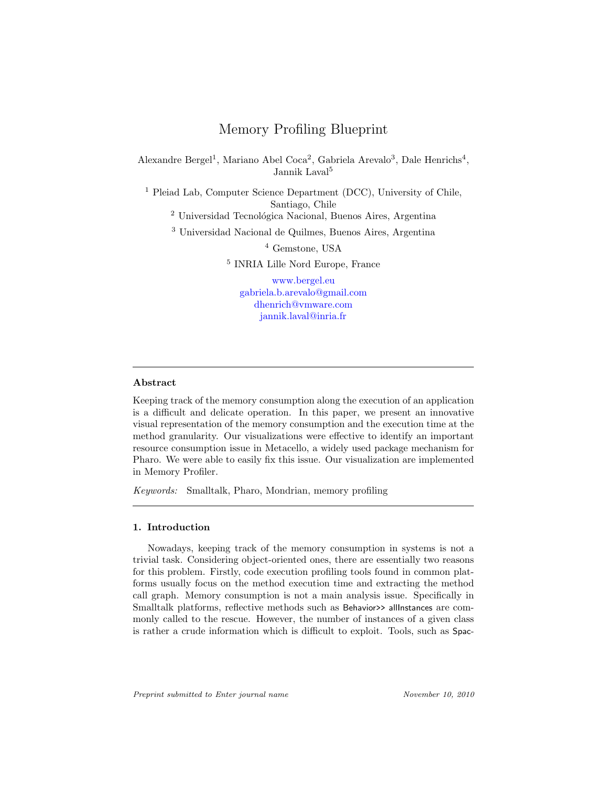# Memory Profiling Blueprint

Alexandre Bergel<sup>1</sup>, Mariano Abel Coca<sup>2</sup>, Gabriela Arevalo<sup>3</sup>, Dale Henrichs<sup>4</sup>, Jannik Laval<sup>5</sup>

<sup>1</sup> Pleiad Lab, Computer Science Department (DCC), University of Chile, Santiago, Chile <sup>2</sup> Universidad Tecnológica Nacional, Buenos Aires, Argentina

<sup>3</sup> Universidad Nacional de Quilmes, Buenos Aires, Argentina

<sup>4</sup> Gemstone, USA

5 INRIA Lille Nord Europe, France

[www.bergel.eu](http://www.bergel.eu) [gabriela.b.arevalo@gmail.com](mailto://gabriela.b.arevalo@gmail.com) [dhenrich@vmware.com](mailto://dhenrich@vmware.com) [jannik.laval@inria.fr](mailto://jannik.laval@inria.fr)

## Abstract

Keeping track of the memory consumption along the execution of an application is a difficult and delicate operation. In this paper, we present an innovative visual representation of the memory consumption and the execution time at the method granularity. Our visualizations were effective to identify an important resource consumption issue in Metacello, a widely used package mechanism for Pharo. We were able to easily fix this issue. Our visualization are implemented in Memory Profiler.

Keywords: Smalltalk, Pharo, Mondrian, memory profiling

## 1. Introduction

Nowadays, keeping track of the memory consumption in systems is not a trivial task. Considering object-oriented ones, there are essentially two reasons for this problem. Firstly, code execution profiling tools found in common platforms usually focus on the method execution time and extracting the method call graph. Memory consumption is not a main analysis issue. Specifically in Smalltalk platforms, reflective methods such as Behavior>> allInstances are commonly called to the rescue. However, the number of instances of a given class is rather a crude information which is difficult to exploit. Tools, such as Spac-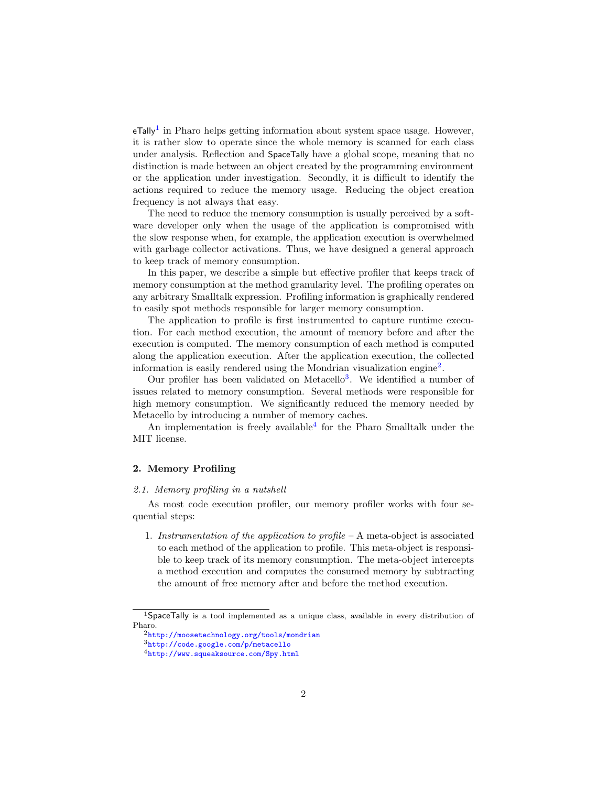$eT$ ally<sup>[1](#page-1-0)</sup> in Pharo helps getting information about system space usage. However, it is rather slow to operate since the whole memory is scanned for each class under analysis. Reflection and SpaceTally have a global scope, meaning that no distinction is made between an object created by the programming environment or the application under investigation. Secondly, it is difficult to identify the actions required to reduce the memory usage. Reducing the object creation frequency is not always that easy.

The need to reduce the memory consumption is usually perceived by a software developer only when the usage of the application is compromised with the slow response when, for example, the application execution is overwhelmed with garbage collector activations. Thus, we have designed a general approach to keep track of memory consumption.

In this paper, we describe a simple but effective profiler that keeps track of memory consumption at the method granularity level. The profiling operates on any arbitrary Smalltalk expression. Profiling information is graphically rendered to easily spot methods responsible for larger memory consumption.

The application to profile is first instrumented to capture runtime execution. For each method execution, the amount of memory before and after the execution is computed. The memory consumption of each method is computed along the application execution. After the application execution, the collected information is easily rendered using the Mondrian visualization engine<sup>[2](#page-1-1)</sup>.

Our profiler has been validated on Metacello<sup>[3](#page-1-2)</sup>. We identified a number of issues related to memory consumption. Several methods were responsible for high memory consumption. We significantly reduced the memory needed by Metacello by introducing a number of memory caches.

An implementation is freely available<sup>[4](#page-1-3)</sup> for the Pharo Smalltalk under the MIT license.

## 2. Memory Profiling

#### 2.1. Memory profiling in a nutshell

As most code execution profiler, our memory profiler works with four sequential steps:

1. Instrumentation of the application to profile  $-A$  meta-object is associated to each method of the application to profile. This meta-object is responsible to keep track of its memory consumption. The meta-object intercepts a method execution and computes the consumed memory by subtracting the amount of free memory after and before the method execution.

<span id="page-1-0"></span><sup>&</sup>lt;sup>1</sup>SpaceTally is a tool implemented as a unique class, available in every distribution of Pharo.

<span id="page-1-1"></span> $^2$ <http://moosetechnology.org/tools/mondrian>

<span id="page-1-2"></span><sup>3</sup><http://code.google.com/p/metacello>

<span id="page-1-3"></span><sup>4</sup><http://www.squeaksource.com/Spy.html>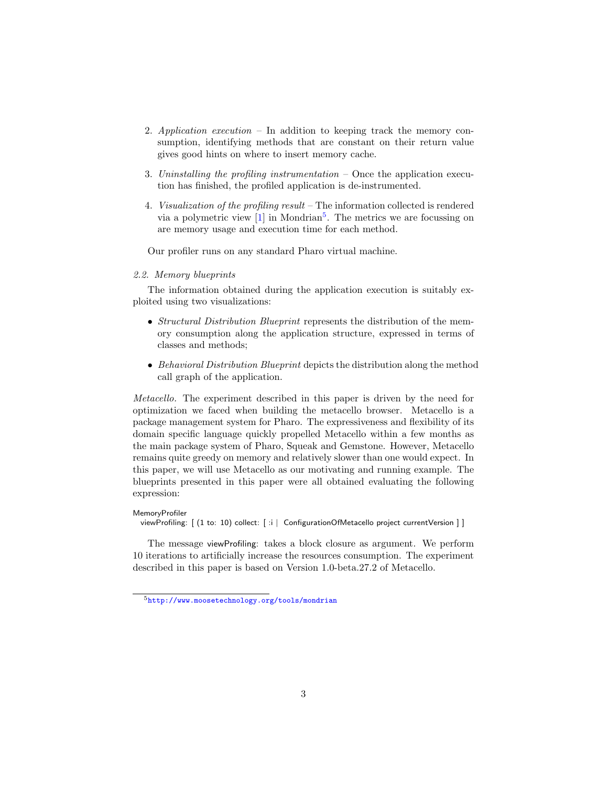- 2. Application execution In addition to keeping track the memory consumption, identifying methods that are constant on their return value gives good hints on where to insert memory cache.
- 3. Uninstalling the profiling instrumentation Once the application execution has finished, the profiled application is de-instrumented.
- 4. Visualization of the profiling result The information collected is rendered via a polymetric view  $[1]$  in Mondrian<sup>[5](#page-2-0)</sup>. The metrics we are focussing on are memory usage and execution time for each method.

Our profiler runs on any standard Pharo virtual machine.

## 2.2. Memory blueprints

The information obtained during the application execution is suitably exploited using two visualizations:

- Structural Distribution Blueprint represents the distribution of the memory consumption along the application structure, expressed in terms of classes and methods;
- Behavioral Distribution Blueprint depicts the distribution along the method call graph of the application.

Metacello. The experiment described in this paper is driven by the need for optimization we faced when building the metacello browser. Metacello is a package management system for Pharo. The expressiveness and flexibility of its domain specific language quickly propelled Metacello within a few months as the main package system of Pharo, Squeak and Gemstone. However, Metacello remains quite greedy on memory and relatively slower than one would expect. In this paper, we will use Metacello as our motivating and running example. The blueprints presented in this paper were all obtained evaluating the following expression:

#### MemoryProfiler

viewProfiling: [ (1 to: 10) collect: [:i | ConfigurationOfMetacello project currentVersion ] ]

The message viewProfiling: takes a block closure as argument. We perform 10 iterations to artificially increase the resources consumption. The experiment described in this paper is based on Version 1.0-beta.27.2 of Metacello.

<span id="page-2-0"></span><sup>5</sup><http://www.moosetechnology.org/tools/mondrian>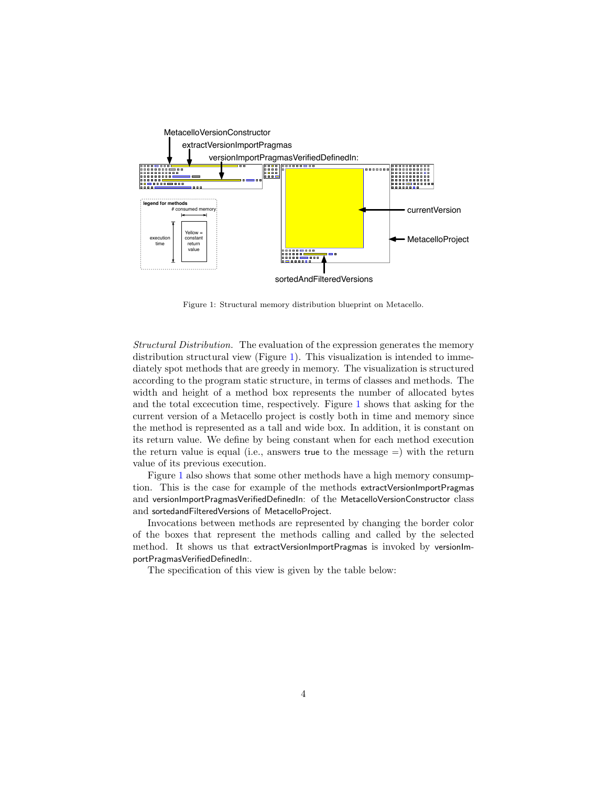

<span id="page-3-0"></span>Figure 1: Structural memory distribution blueprint on Metacello.

Structural Distribution. The evaluation of the expression generates the memory distribution structural view (Figure [1\)](#page-3-0). This visualization is intended to immediately spot methods that are greedy in memory. The visualization is structured according to the program static structure, in terms of classes and methods. The width and height of a method box represents the number of allocated bytes and the total excecution time, respectively. Figure [1](#page-3-0) shows that asking for the current version of a Metacello project is costly both in time and memory since the method is represented as a tall and wide box. In addition, it is constant on its return value. We define by being constant when for each method execution the return value is equal (i.e., answers true to the message  $=$ ) with the return value of its previous execution.

Figure [1](#page-3-0) also shows that some other methods have a high memory consumption. This is the case for example of the methods extractVersionImportPragmas and versionImportPragmasVerifiedDefinedIn: of the MetacelloVersionConstructor class and sortedandFilteredVersions of MetacelloProject.

Invocations between methods are represented by changing the border color of the boxes that represent the methods calling and called by the selected method. It shows us that extractVersionImportPragmas is invoked by versionImportPragmasVerifiedDefinedIn:.

The specification of this view is given by the table below: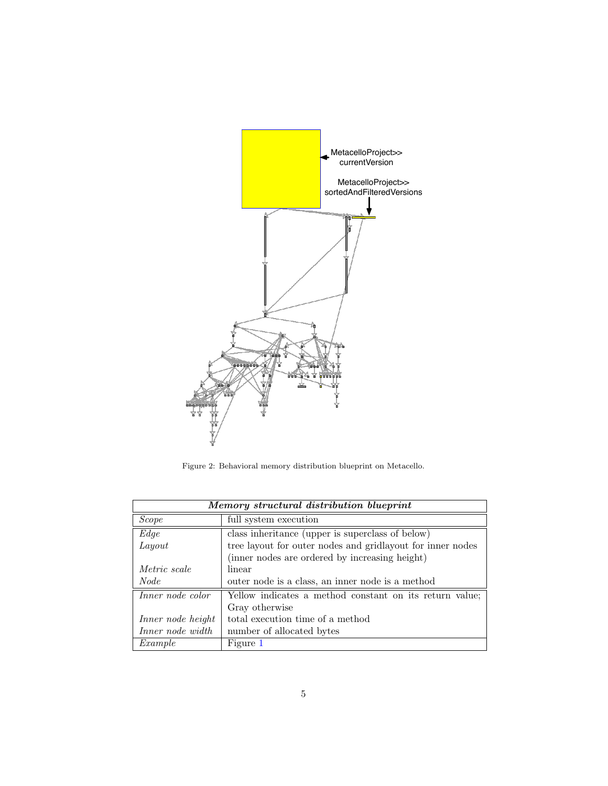

<span id="page-4-0"></span>Figure 2: Behavioral memory distribution blueprint on Metacello.

| Memory structural distribution blueprint |                                                            |  |
|------------------------------------------|------------------------------------------------------------|--|
| Scope                                    | full system execution                                      |  |
| Edge                                     | class inheritance (upper is superclass of below)           |  |
| Layout                                   | tree layout for outer nodes and gridlayout for inner nodes |  |
|                                          | (inner nodes are ordered by increasing height)             |  |
| <i>Metric scale</i>                      | linear                                                     |  |
| <i>Node</i>                              | outer node is a class, an inner node is a method           |  |
| Inner node color                         | Yellow indicates a method constant on its return value;    |  |
|                                          | Gray otherwise                                             |  |
| Inner node height                        | total execution time of a method                           |  |
| Inner node width                         | number of allocated bytes                                  |  |
| Example                                  | Figure 1                                                   |  |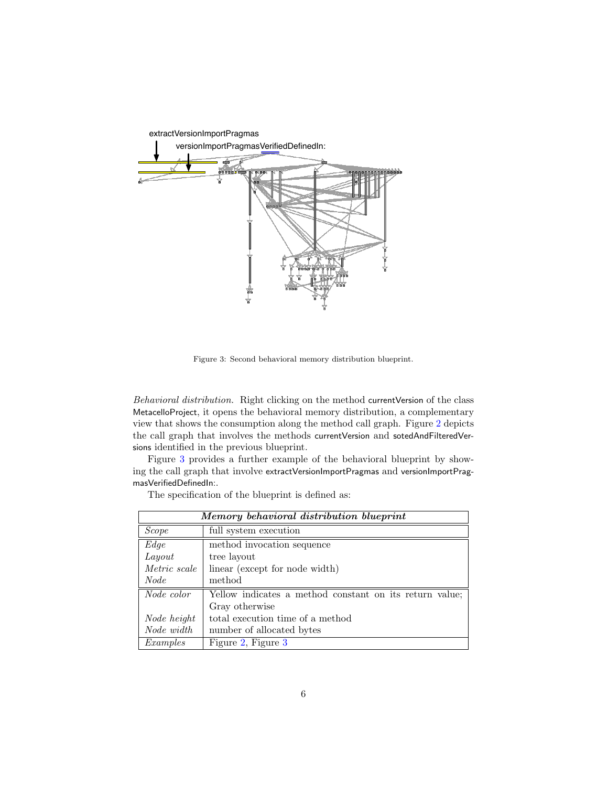

<span id="page-5-0"></span>Figure 3: Second behavioral memory distribution blueprint.

Behavioral distribution. Right clicking on the method currentVersion of the class MetacelloProject, it opens the behavioral memory distribution, a complementary view that shows the consumption along the method call graph. Figure [2](#page-4-0) depicts the call graph that involves the methods currentVersion and sotedAndFilteredVersions identified in the previous blueprint.

Figure [3](#page-5-0) provides a further example of the behavioral blueprint by showing the call graph that involve extractVersionImportPragmas and versionImportPragmasVerifiedDefinedIn:.

The specification of the blueprint is defined as:

| Memory behavioral distribution blueprint |                                                         |  |
|------------------------------------------|---------------------------------------------------------|--|
| <i>Scope</i>                             | full system execution                                   |  |
| Edge                                     | method invocation sequence                              |  |
| Layout                                   | tree layout                                             |  |
| Metric scale                             | linear (except for node width)                          |  |
| <i>Node</i>                              | method                                                  |  |
| Node color                               | Yellow indicates a method constant on its return value; |  |
|                                          | Gray otherwise                                          |  |
| Node height                              | total execution time of a method                        |  |
| Node width                               | number of allocated bytes                               |  |
| Examples                                 | Figure 2, Figure 3                                      |  |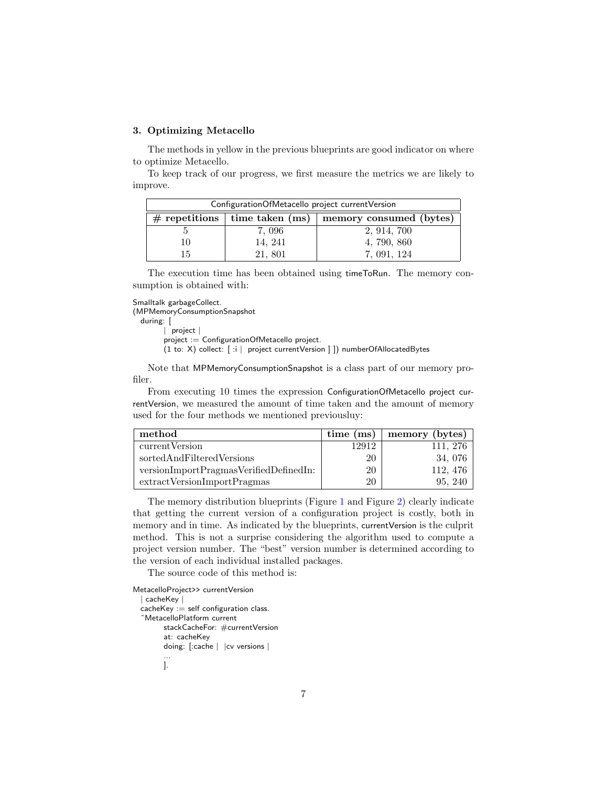#### 3. Optimizing Metacello

The methods in yellow in the previous blueprints are good indicator on where to optimize Metacello.

To keep track of our progress, we first measure the metrics we are likely to improve.

| Configuration Of Metacello project current Version |                                   |                         |  |  |  |
|----------------------------------------------------|-----------------------------------|-------------------------|--|--|--|
|                                                    | $#$ repetitions   time taken (ms) | memory consumed (bytes) |  |  |  |
|                                                    | 7,096                             | 2, 914, 700             |  |  |  |
| LΟ                                                 | 14, 241                           | 4, 790, 860             |  |  |  |
| 15.                                                | 21, 801                           | 7, 091, 124             |  |  |  |

The execution time has been obtained using timeToRun. The memory consumption is obtained with:

Smalltalk garbageCollect. (MPMemoryConsumptionSnapshot

```
during: [
```
| project |

project := ConfigurationOfMetacello project.

(1 to: X) collect: [ :i | project currentVersion ] ]) numberOfAllocatedBytes

Note that MPMemoryConsumptionSnapshot is a class part of our memory profiler.

From executing 10 times the expression ConfigurationOfMetacello project currentVersion, we measured the amount of time taken and the amount of memory used for the four methods we mentioned previousluy:

| method                                 | time (ms) | memory (bytes) |
|----------------------------------------|-----------|----------------|
| current Version                        | 12912     | 111, 276       |
| sortedAndFilteredVersions              | 20        | 34, 076        |
| versionImportPragmasVerifiedDefinedIn: | 20        | 112, 476       |
| extractVersionImportPragmas            | 20        | 95, 240        |

The memory distribution blueprints (Figure [1](#page-3-0) and Figure [2\)](#page-4-0) clearly indicate that getting the current version of a configuration project is costly, both in memory and in time. As indicated by the blueprints, currentVersion is the culprit method. This is not a surprise considering the algorithm used to compute a project version number. The "best" version number is determined according to the version of each individual installed packages.

The source code of this method is:

```
MetacelloProject>> currentVersion
 | cacheKey |
cacheKey := self configuration class.ˆMetacelloPlatform current
       stackCacheFor: #currentVersion
       at: cacheKey
       doing: [:cache | |cv versions |
        ...
       ].
```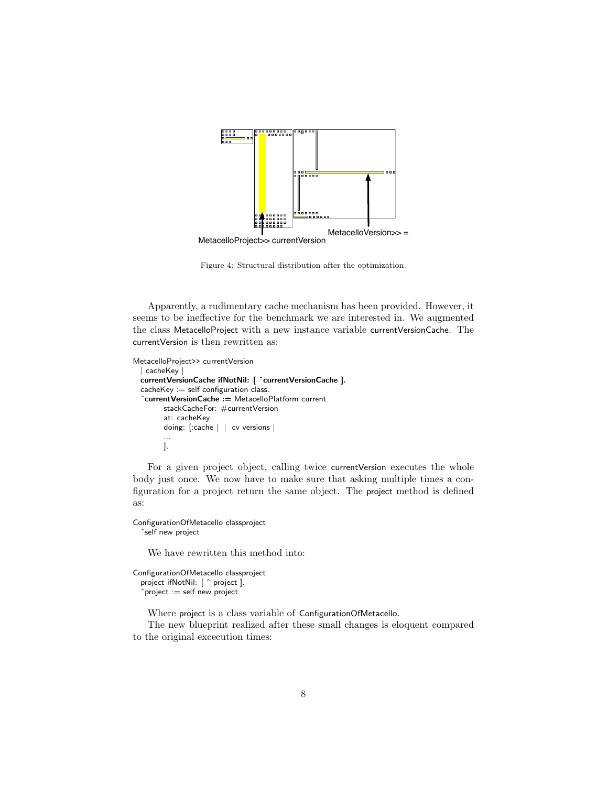

Figure 4: Structural distribution after the optimization.

Apparently, a rudimentary cache mechanism has been provided. However, it seems to be ineffective for the benchmark we are interested in. We augmented the class MetacelloProject with a new instance variable currentVersionCache. The currentVersion is then rewritten as:

```
MetacelloProject>> currentVersion
| cacheKey |
currentVersionCache ifNotNil: [ ˆcurrentVersionCache ].
cacheKey := self configuration class.ˆcurrentVersionCache := MetacelloPlatform current
       stackCacheFor: #currentVersion
       at: cacheKey
       doing: [:cache | | cv versions |
       ...
      ].
```
For a given project object, calling twice currentVersion executes the whole body just once. We now have to make sure that asking multiple times a configuration for a project return the same object. The project method is defined as:

ConfigurationOfMetacello classproject ˆself new project

We have rewritten this method into:

ConfigurationOfMetacello classproject project ifNotNil: [ ˆ project ].  $\hat{p}$  project  $:=$  self new project

Where project is a class variable of ConfigurationOfMetacello.

The new blueprint realized after these small changes is eloquent compared to the original excecution times: